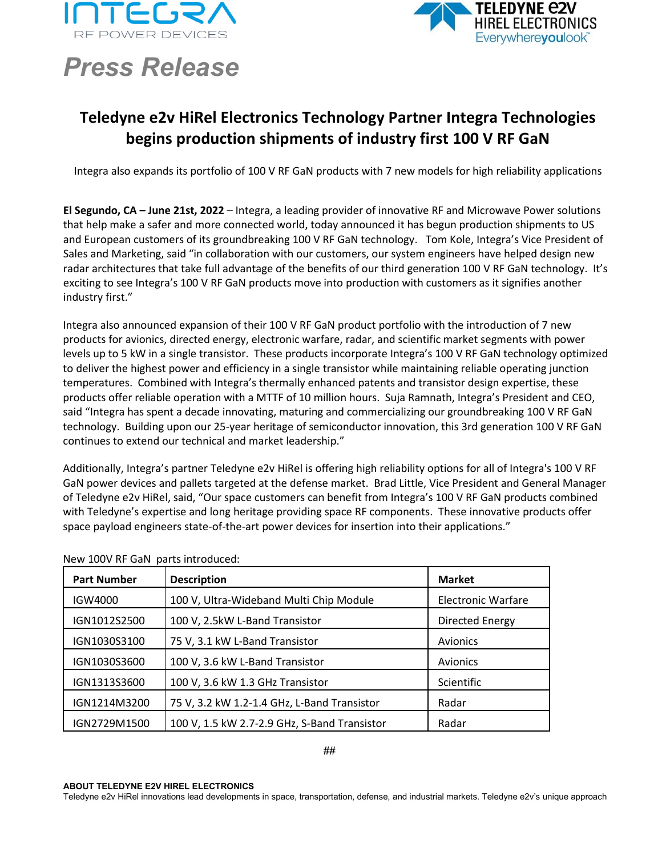



## *Press Release*

## **Teledyne e2v HiRel Electronics Technology Partner Integra Technologies begins production shipments of industry first 100 V RF GaN**

Integra also expands its portfolio of 100 V RF GaN products with 7 new models for high reliability applications

**El Segundo, CA – June 21st, 2022** – Integra, a leading provider of innovative RF and Microwave Power solutions that help make a safer and more connected world, today announced it has begun production shipments to US and European customers of its groundbreaking 100 V RF GaN technology. Tom Kole, Integra's Vice President of Sales and Marketing, said "in collaboration with our customers, our system engineers have helped design new radar architectures that take full advantage of the benefits of our third generation 100 V RF GaN technology. It's exciting to see Integra's 100 V RF GaN products move into production with customers as it signifies another industry first."

Integra also announced expansion of their 100 V RF GaN product portfolio with the introduction of 7 new products for avionics, directed energy, electronic warfare, radar, and scientific market segments with power levels up to 5 kW in a single transistor. These products incorporate Integra's 100 V RF GaN technology optimized to deliver the highest power and efficiency in a single transistor while maintaining reliable operating junction temperatures. Combined with Integra's thermally enhanced patents and transistor design expertise, these products offer reliable operation with a MTTF of 10 million hours. Suja Ramnath, Integra's President and CEO, said "Integra has spent a decade innovating, maturing and commercializing our groundbreaking 100 V RF GaN technology. Building upon our 25-year heritage of semiconductor innovation, this 3rd generation 100 V RF GaN continues to extend our technical and market leadership."

Additionally, Integra's partner Teledyne e2v HiRel is offering high reliability options for all of Integra's 100 V RF GaN power devices and pallets targeted at the defense market. Brad Little, Vice President and General Manager of Teledyne e2v HiRel, said, "Our space customers can benefit from Integra's 100 V RF GaN products combined with Teledyne's expertise and long heritage providing space RF components. These innovative products offer space payload engineers state-of-the-art power devices for insertion into their applications."

| <b>Part Number</b> | <b>Description</b>                           | <b>Market</b>             |
|--------------------|----------------------------------------------|---------------------------|
| IGW4000            | 100 V, Ultra-Wideband Multi Chip Module      | <b>Electronic Warfare</b> |
| IGN1012S2500       | 100 V, 2.5kW L-Band Transistor               | Directed Energy           |
| IGN1030S3100       | 75 V, 3.1 kW L-Band Transistor               | Avionics                  |
| IGN1030S3600       | 100 V, 3.6 kW L-Band Transistor              | Avionics                  |
| IGN1313S3600       | 100 V, 3.6 kW 1.3 GHz Transistor             | Scientific                |
| IGN1214M3200       | 75 V, 3.2 kW 1.2-1.4 GHz, L-Band Transistor  | Radar                     |
| IGN2729M1500       | 100 V, 1.5 kW 2.7-2.9 GHz, S-Band Transistor | Radar                     |

## New 100V RF GaN parts introduced:

**ABOUT TELEDYNE E2V HIREL ELECTRONICS**

Teledyne e2v HiRel innovations lead developments in space, transportation, defense, and industrial markets. Teledyne e2v's unique approach